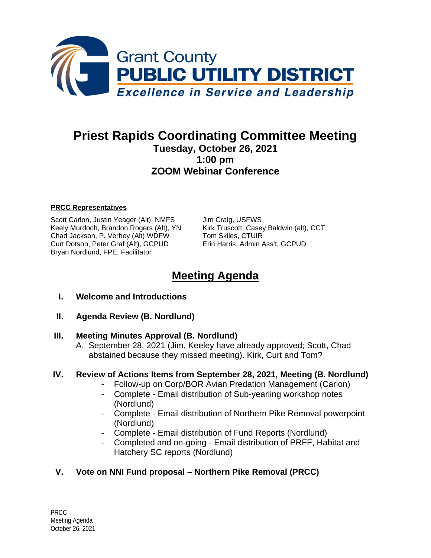

# **Priest Rapids Coordinating Committee Meeting Tuesday, October 26, 2021 1:00 pm ZOOM Webinar Conference**

#### **PRCC Representatives**

Scott Carlon, Justin Yeager (Alt), NMFS Jim Craig, USFWS Keely Murdoch, Brandon Rogers (Alt), YN Kirk Truscott, Casey Baldwin (alt), CCT Chad Jackson, P. Verhey (Alt) WDFW Tom Skiles, CTUIR Curt Dotson, Peter Graf (Alt), GCPUD Erin Harris, Admin Ass't, GCPUD Bryan Nordlund, FPE, Facilitator

# **Meeting Agenda**

- **I. Welcome and Introductions**
- **II. Agenda Review (B. Nordlund)**

#### **III. Meeting Minutes Approval (B. Nordlund)**

A. September 28, 2021 (Jim, Keeley have already approved; Scott, Chad abstained because they missed meeting). Kirk, Curt and Tom?

#### **IV. Review of Actions Items from September 28, 2021, Meeting (B. Nordlund)**

- Follow-up on Corp/BOR Avian Predation Management (Carlon)
- Complete Email distribution of Sub-yearling workshop notes (Nordlund)
- Complete Email distribution of Northern Pike Removal powerpoint (Nordlund)
- Complete Email distribution of Fund Reports (Nordlund)
- Completed and on-going Email distribution of PRFF, Habitat and Hatchery SC reports (Nordlund)

#### **V. Vote on NNI Fund proposal – Northern Pike Removal (PRCC)**